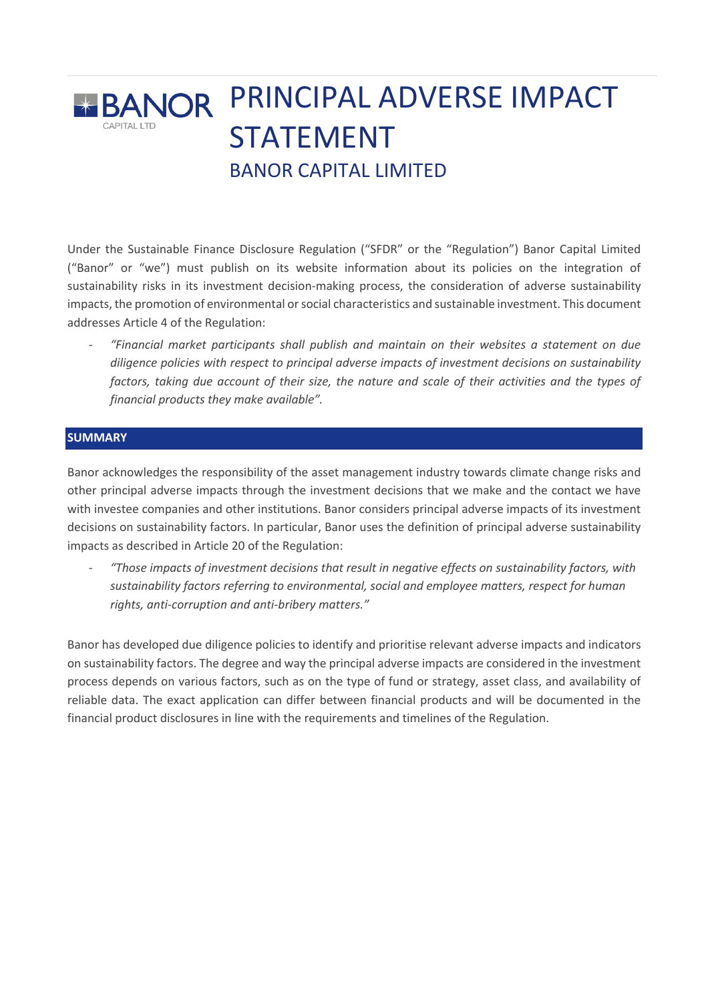# **BANOR PRINCIPAL ADVERSE IMPACT** STATEMENT BANOR CAPITAL LIMITED

Under the Sustainable Finance Disclosure Regulation ("SFDR" or the "Regulation") Banor Capital Limited ("Banor" or "we") must publish on its website information about its policies on the integration of sustainability risks in its investment decision-making process, the consideration of adverse sustainability impacts, the promotion of environmental or social characteristics and sustainable investment. This document addresses Article 4 of the Regulation:

- *"Financial market participants shall publish and maintain on their websites a statement on due diligence policies with respect to principal adverse impacts of investment decisions on sustainability factors, taking due account of their size, the nature and scale of their activities and the types of financial products they make available".*

### **SUMMARY**

Banor acknowledges the responsibility of the asset management industry towards climate change risks and other principal adverse impacts through the investment decisions that we make and the contact we have with investee companies and other institutions. Banor considers principal adverse impacts of its investment decisions on sustainability factors. In particular, Banor uses the definition of principal adverse sustainability impacts as described in Article 20 of the Regulation:

- *"Those impacts of investment decisions that result in negative effects on sustainability factors, with sustainability factors referring to environmental, social and employee matters, respect for human rights, anti-corruption and anti-bribery matters."*

Banor has developed due diligence policies to identify and prioritise relevant adverse impacts and indicators on sustainability factors. The degree and way the principal adverse impacts are considered in the investment process depends on various factors, such as on the type of fund or strategy, asset class, and availability of reliable data. The exact application can differ between financial products and will be documented in the financial product disclosures in line with the requirements and timelines of the Regulation.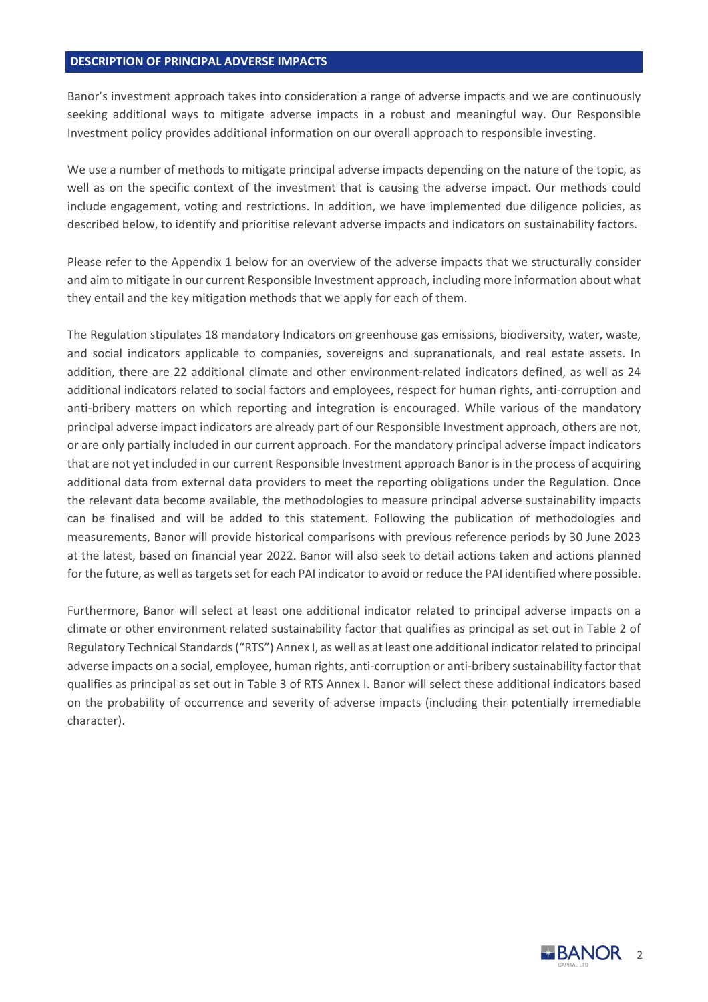#### **DESCRIPTION OF PRINCIPAL ADVERSE IMPACTS**

Banor's investment approach takes into consideration a range of adverse impacts and we are continuously seeking additional ways to mitigate adverse impacts in a robust and meaningful way. Our Responsible Investment policy provides additional information on our overall approach to responsible investing.

We use a number of methods to mitigate principal adverse impacts depending on the nature of the topic, as well as on the specific context of the investment that is causing the adverse impact. Our methods could include engagement, voting and restrictions. In addition, we have implemented due diligence policies, as described below, to identify and prioritise relevant adverse impacts and indicators on sustainability factors.

Please refer to the Appendix 1 below for an overview of the adverse impacts that we structurally consider and aim to mitigate in our current Responsible Investment approach, including more information about what they entail and the key mitigation methods that we apply for each of them.

The Regulation stipulates 18 mandatory Indicators on greenhouse gas emissions, biodiversity, water, waste, and social indicators applicable to companies, sovereigns and supranationals, and real estate assets. In addition, there are 22 additional climate and other environment-related indicators defined, as well as 24 additional indicators related to social factors and employees, respect for human rights, anti-corruption and anti-bribery matters on which reporting and integration is encouraged. While various of the mandatory principal adverse impact indicators are already part of our Responsible Investment approach, others are not, or are only partially included in our current approach. For the mandatory principal adverse impact indicators that are not yet included in our current Responsible Investment approach Banor is in the process of acquiring additional data from external data providers to meet the reporting obligations under the Regulation. Once the relevant data become available, the methodologies to measure principal adverse sustainability impacts can be finalised and will be added to this statement. Following the publication of methodologies and measurements, Banor will provide historical comparisons with previous reference periods by 30 June 2023 at the latest, based on financial year 2022. Banor will also seek to detail actions taken and actions planned for the future, as well as targets set for each PAI indicator to avoid or reduce the PAI identified where possible.

Furthermore, Banor will select at least one additional indicator related to principal adverse impacts on a climate or other environment related sustainability factor that qualifies as principal as set out in Table 2 of Regulatory Technical Standards ("RTS") Annex I, as well as at least one additional indicator related to principal adverse impacts on a social, employee, human rights, anti-corruption or anti-bribery sustainability factor that qualifies as principal as set out in Table 3 of RTS Annex I. Banor will select these additional indicators based on the probability of occurrence and severity of adverse impacts (including their potentially irremediable character).

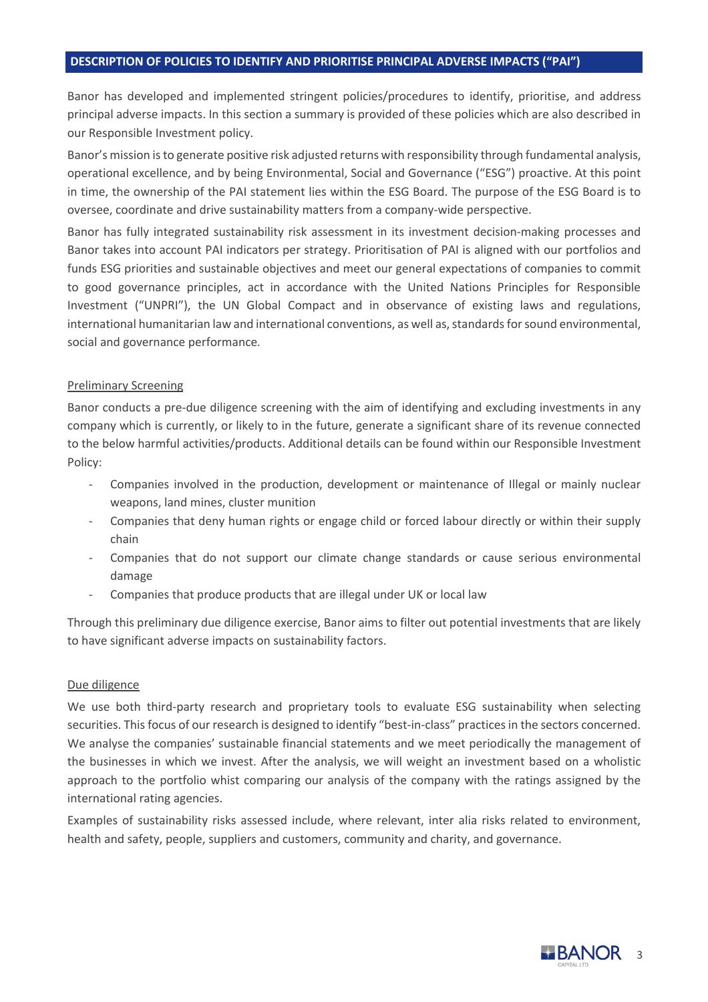#### **DESCRIPTION OF POLICIES TO IDENTIFY AND PRIORITISE PRINCIPAL ADVERSE IMPACTS ("PAI")**

Banor has developed and implemented stringent policies/procedures to identify, prioritise, and address principal adverse impacts. In this section a summary is provided of these policies which are also described in our Responsible Investment policy.

Banor's mission is to generate positive risk adjusted returns with responsibility through fundamental analysis, operational excellence, and by being Environmental, Social and Governance ("ESG") proactive. At this point in time, the ownership of the PAI statement lies within the ESG Board. The purpose of the ESG Board is to oversee, coordinate and drive sustainability matters from a company-wide perspective.

Banor has fully integrated sustainability risk assessment in its investment decision-making processes and Banor takes into account PAI indicators per strategy. Prioritisation of PAI is aligned with our portfolios and funds ESG priorities and sustainable objectives and meet our general expectations of companies to commit to good governance principles, act in accordance with the United Nations Principles for Responsible Investment ("UNPRI"), the UN Global Compact and in observance of existing laws and regulations, international humanitarian law and international conventions, as well as, standards for sound environmental, social and governance performance.

#### Preliminary Screening

Banor conducts a pre-due diligence screening with the aim of identifying and excluding investments in any company which is currently, or likely to in the future, generate a significant share of its revenue connected to the below harmful activities/products. Additional details can be found within our Responsible Investment Policy:

- Companies involved in the production, development or maintenance of Illegal or mainly nuclear weapons, land mines, cluster munition
- Companies that deny human rights or engage child or forced labour directly or within their supply chain
- Companies that do not support our climate change standards or cause serious environmental damage
- Companies that produce products that are illegal under UK or local law

Through this preliminary due diligence exercise, Banor aims to filter out potential investments that are likely to have significant adverse impacts on sustainability factors.

#### Due diligence

We use both third-party research and proprietary tools to evaluate ESG sustainability when selecting securities. This focus of our research is designed to identify "best-in-class" practices in the sectors concerned. We analyse the companies' sustainable financial statements and we meet periodically the management of the businesses in which we invest. After the analysis, we will weight an investment based on a wholistic approach to the portfolio whist comparing our analysis of the company with the ratings assigned by the international rating agencies.

Examples of sustainability risks assessed include, where relevant, inter alia risks related to environment, health and safety, people, suppliers and customers, community and charity, and governance.

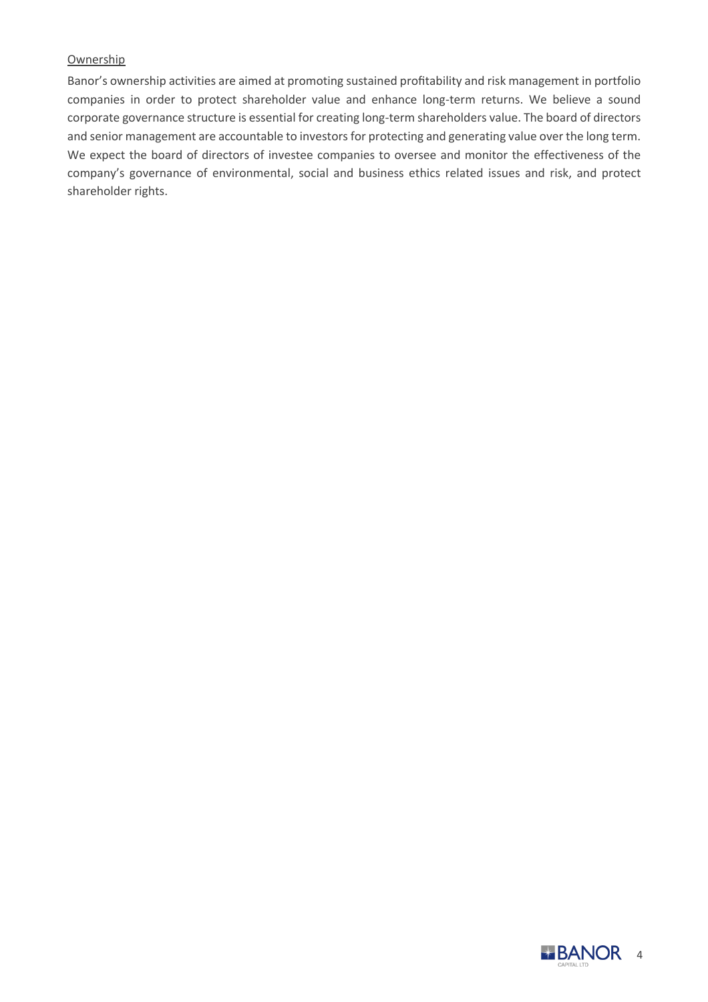## Ownership

Banor's ownership activities are aimed at promoting sustained profitability and risk management in portfolio companies in order to protect shareholder value and enhance long-term returns. We believe a sound corporate governance structure is essential for creating long-term shareholders value. The board of directors and senior management are accountable to investors for protecting and generating value over the long term. We expect the board of directors of investee companies to oversee and monitor the effectiveness of the company's governance of environmental, social and business ethics related issues and risk, and protect shareholder rights.

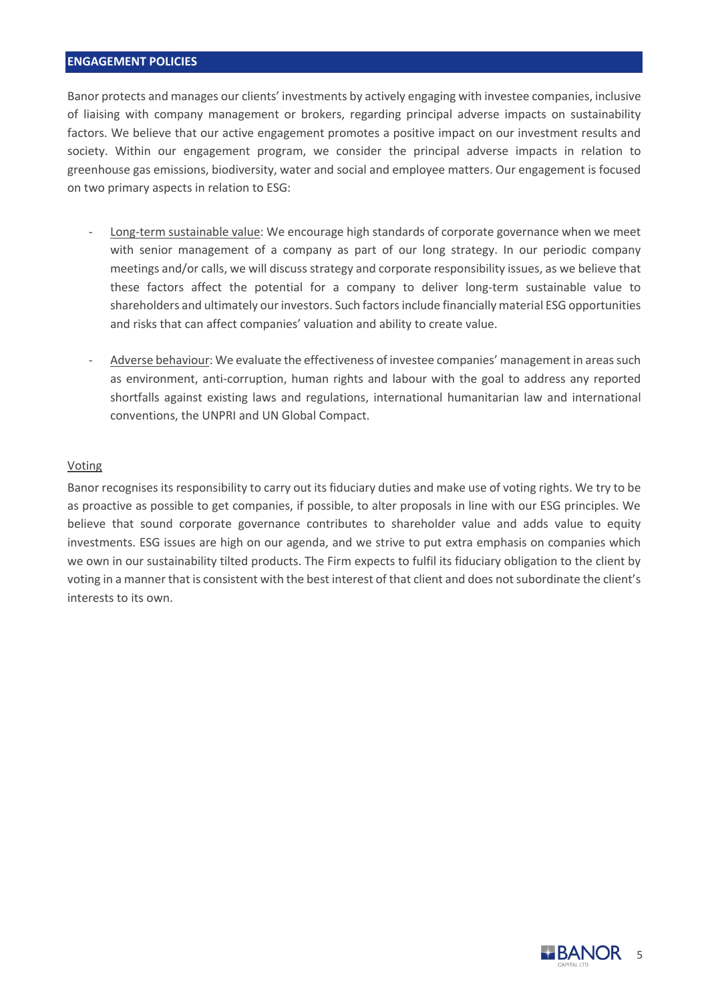#### **ENGAGEMENT POLICIES**

Banor protects and manages our clients' investments by actively engaging with investee companies, inclusive of liaising with company management or brokers, regarding principal adverse impacts on sustainability factors. We believe that our active engagement promotes a positive impact on our investment results and society. Within our engagement program, we consider the principal adverse impacts in relation to greenhouse gas emissions, biodiversity, water and social and employee matters. Our engagement is focused on two primary aspects in relation to ESG:

- Long-term sustainable value: We encourage high standards of corporate governance when we meet with senior management of a company as part of our long strategy. In our periodic company meetings and/or calls, we will discuss strategy and corporate responsibility issues, as we believe that these factors affect the potential for a company to deliver long-term sustainable value to shareholders and ultimately our investors. Such factors include financially material ESG opportunities and risks that can affect companies' valuation and ability to create value.
- Adverse behaviour: We evaluate the effectiveness of investee companies' management in areas such as environment, anti-corruption, human rights and labour with the goal to address any reported shortfalls against existing laws and regulations, international humanitarian law and international conventions, the UNPRI and UN Global Compact.

#### Voting

Banor recognises its responsibility to carry out its fiduciary duties and make use of voting rights. We try to be as proactive as possible to get companies, if possible, to alter proposals in line with our ESG principles. We believe that sound corporate governance contributes to shareholder value and adds value to equity investments. ESG issues are high on our agenda, and we strive to put extra emphasis on companies which we own in our sustainability tilted products. The Firm expects to fulfil its fiduciary obligation to the client by voting in a manner that is consistent with the best interest of that client and does not subordinate the client's interests to its own.

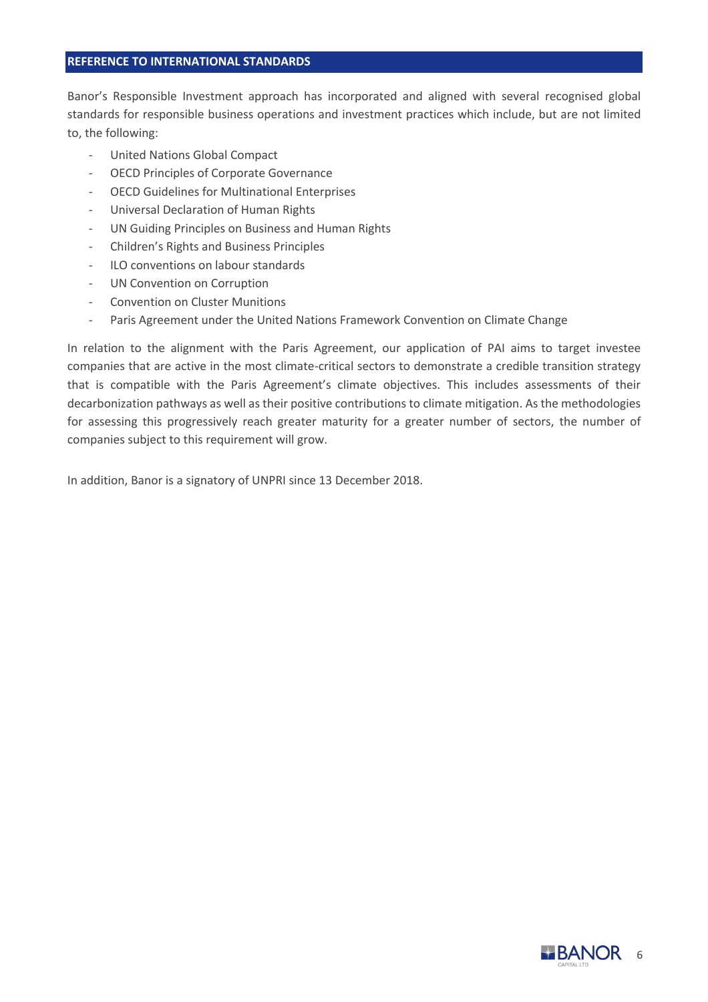#### **REFERENCE TO INTERNATIONAL STANDARDS**

Banor's Responsible Investment approach has incorporated and aligned with several recognised global standards for responsible business operations and investment practices which include, but are not limited to, the following:

- United Nations Global Compact
- OECD Principles of Corporate Governance
- OECD Guidelines for Multinational Enterprises
- Universal Declaration of Human Rights
- UN Guiding Principles on Business and Human Rights
- Children's Rights and Business Principles
- ILO conventions on labour standards
- UN Convention on Corruption
- Convention on Cluster Munitions
- Paris Agreement under the United Nations Framework Convention on Climate Change

In relation to the alignment with the Paris Agreement, our application of PAI aims to target investee companies that are active in the most climate-critical sectors to demonstrate a credible transition strategy that is compatible with the Paris Agreement's climate objectives. This includes assessments of their decarbonization pathways as well as their positive contributions to climate mitigation. As the methodologies for assessing this progressively reach greater maturity for a greater number of sectors, the number of companies subject to this requirement will grow.

In addition, Banor is a signatory of UNPRI since 13 December 2018.

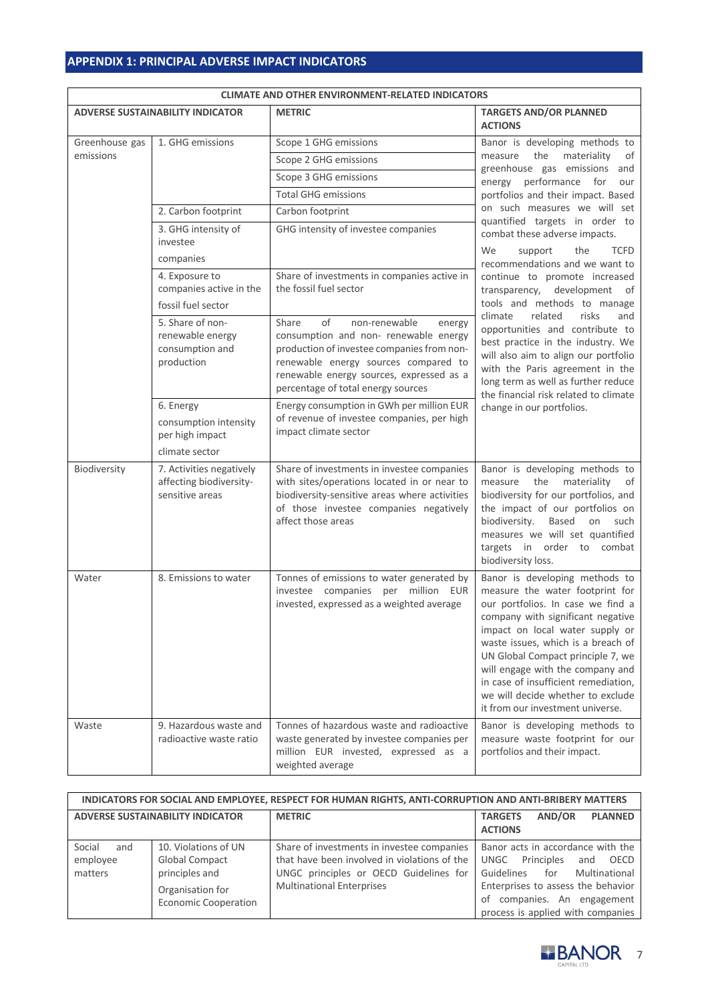## **APPENDIX 1: PRINCIPAL ADVERSE IMPACT INDICATORS**

| <b>CLIMATE AND OTHER ENVIRONMENT-RELATED INDICATORS</b> |                                                                         |                                                                                                                                                                                                                                                         |                                                                                                                                                                                                                                                                                                                                                                                                                |
|---------------------------------------------------------|-------------------------------------------------------------------------|---------------------------------------------------------------------------------------------------------------------------------------------------------------------------------------------------------------------------------------------------------|----------------------------------------------------------------------------------------------------------------------------------------------------------------------------------------------------------------------------------------------------------------------------------------------------------------------------------------------------------------------------------------------------------------|
|                                                         | <b>ADVERSE SUSTAINABILITY INDICATOR</b>                                 | <b>METRIC</b>                                                                                                                                                                                                                                           | <b>TARGETS AND/OR PLANNED</b><br><b>ACTIONS</b>                                                                                                                                                                                                                                                                                                                                                                |
| Greenhouse gas                                          | 1. GHG emissions                                                        | Scope 1 GHG emissions                                                                                                                                                                                                                                   | Banor is developing methods to                                                                                                                                                                                                                                                                                                                                                                                 |
| emissions                                               |                                                                         | Scope 2 GHG emissions                                                                                                                                                                                                                                   | the<br>materiality<br>of<br>measure                                                                                                                                                                                                                                                                                                                                                                            |
|                                                         |                                                                         | Scope 3 GHG emissions                                                                                                                                                                                                                                   | greenhouse gas emissions and<br>energy performance for<br>our                                                                                                                                                                                                                                                                                                                                                  |
|                                                         |                                                                         | <b>Total GHG emissions</b>                                                                                                                                                                                                                              | portfolios and their impact. Based                                                                                                                                                                                                                                                                                                                                                                             |
|                                                         | 2. Carbon footprint                                                     | Carbon footprint                                                                                                                                                                                                                                        | on such measures we will set                                                                                                                                                                                                                                                                                                                                                                                   |
|                                                         | 3. GHG intensity of<br>investee<br>companies                            | GHG intensity of investee companies                                                                                                                                                                                                                     | quantified targets in order to<br>combat these adverse impacts.<br>We<br>support<br>the<br><b>TCFD</b><br>recommendations and we want to                                                                                                                                                                                                                                                                       |
|                                                         | 4. Exposure to<br>companies active in the<br>fossil fuel sector         | Share of investments in companies active in<br>the fossil fuel sector                                                                                                                                                                                   | continue to promote increased<br>transparency, development of<br>tools and methods to manage                                                                                                                                                                                                                                                                                                                   |
|                                                         | 5. Share of non-<br>renewable energy<br>consumption and<br>production   | Share<br>of<br>non-renewable<br>energy<br>consumption and non- renewable energy<br>production of investee companies from non-<br>renewable energy sources compared to<br>renewable energy sources, expressed as a<br>percentage of total energy sources | climate<br>related<br>risks<br>and<br>opportunities and contribute to<br>best practice in the industry. We<br>will also aim to align our portfolio<br>with the Paris agreement in the<br>long term as well as further reduce<br>the financial risk related to climate                                                                                                                                          |
|                                                         | 6. Energy<br>consumption intensity<br>per high impact<br>climate sector | Energy consumption in GWh per million EUR<br>of revenue of investee companies, per high<br>impact climate sector                                                                                                                                        | change in our portfolios.                                                                                                                                                                                                                                                                                                                                                                                      |
| Biodiversity                                            | 7. Activities negatively<br>affecting biodiversity-<br>sensitive areas  | Share of investments in investee companies<br>with sites/operations located in or near to<br>biodiversity-sensitive areas where activities<br>of those investee companies negatively<br>affect those areas                                              | Banor is developing methods to<br>the materiality<br>measure<br>of<br>biodiversity for our portfolios, and<br>the impact of our portfolios on<br>biodiversity.<br>Based on such<br>measures we will set quantified<br>targets in order to combat<br>biodiversity loss.                                                                                                                                         |
| Water                                                   | 8. Emissions to water                                                   | Tonnes of emissions to water generated by<br>investee companies per million EUR<br>invested, expressed as a weighted average                                                                                                                            | Banor is developing methods to<br>measure the water footprint for<br>our portfolios. In case we find a<br>company with significant negative<br>impact on local water supply or<br>waste issues, which is a breach of<br>UN Global Compact principle 7, we<br>will engage with the company and<br>in case of insufficient remediation,<br>we will decide whether to exclude<br>it from our investment universe. |
| Waste                                                   | 9. Hazardous waste and<br>radioactive waste ratio                       | Tonnes of hazardous waste and radioactive<br>waste generated by investee companies per<br>million EUR invested, expressed as a<br>weighted average                                                                                                      | Banor is developing methods to<br>measure waste footprint for our<br>portfolios and their impact.                                                                                                                                                                                                                                                                                                              |

| <b>CLIMATE AND OTHER ENVIRONMENT-RELATED INDICATORS</b> |  |  |
|---------------------------------------------------------|--|--|

| INDICATORS FOR SOCIAL AND EMPLOYEE, RESPECT FOR HUMAN RIGHTS, ANTI-CORRUPTION AND ANTI-BRIBERY MATTERS |                                                                                                                    |                                                                                                                                                                          |                                                                                                                                                                                                                        |  |
|--------------------------------------------------------------------------------------------------------|--------------------------------------------------------------------------------------------------------------------|--------------------------------------------------------------------------------------------------------------------------------------------------------------------------|------------------------------------------------------------------------------------------------------------------------------------------------------------------------------------------------------------------------|--|
| <b>ADVERSE SUSTAINABILITY INDICATOR</b>                                                                |                                                                                                                    | <b>METRIC</b>                                                                                                                                                            | AND/OR<br><b>PLANNED</b><br><b>TARGETS</b><br><b>ACTIONS</b>                                                                                                                                                           |  |
| Social<br>and<br>employee<br>matters                                                                   | 10. Violations of UN<br><b>Global Compact</b><br>principles and<br>Organisation for<br><b>Economic Cooperation</b> | Share of investments in investee companies<br>that have been involved in violations of the<br>UNGC principles or OECD Guidelines for<br><b>Multinational Enterprises</b> | Banor acts in accordance with the<br>Principles<br>OECD<br>UNGC<br>and<br>Multinational<br>Guidelines for<br>Enterprises to assess the behavior<br>companies. An engagement<br>οf<br>process is applied with companies |  |

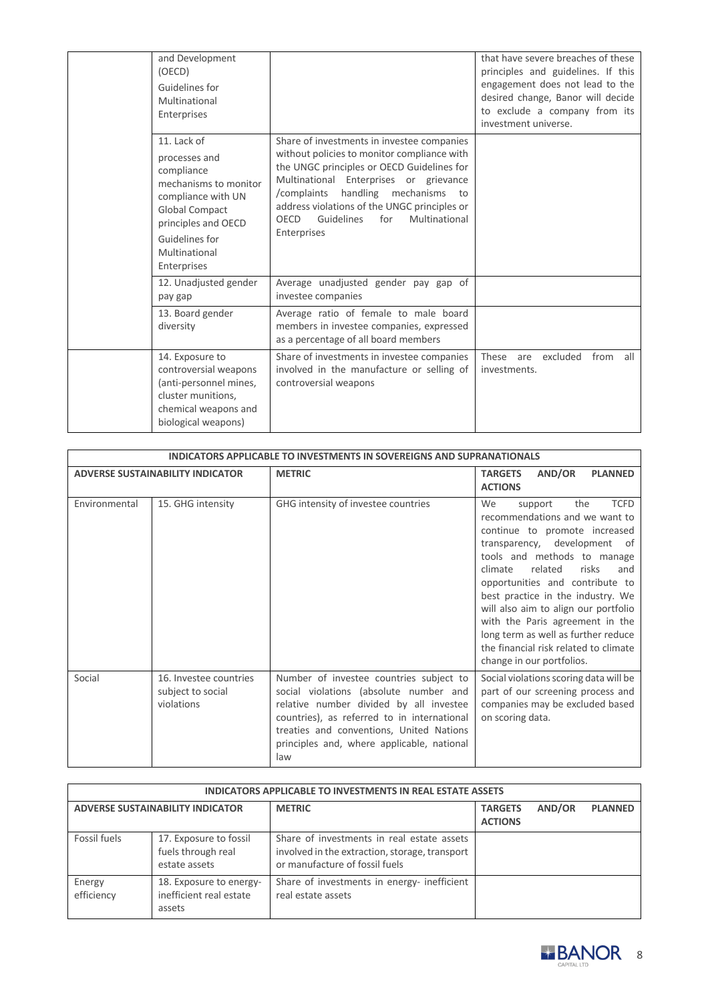| and Development<br>(OECD)<br>Guidelines for<br>Multinational<br>Enterprises                                                                                                          |                                                                                                                                                                                                                                                                                                                                               | that have severe breaches of these<br>principles and guidelines. If this<br>engagement does not lead to the<br>desired change, Banor will decide<br>to exclude a company from its<br>investment universe. |
|--------------------------------------------------------------------------------------------------------------------------------------------------------------------------------------|-----------------------------------------------------------------------------------------------------------------------------------------------------------------------------------------------------------------------------------------------------------------------------------------------------------------------------------------------|-----------------------------------------------------------------------------------------------------------------------------------------------------------------------------------------------------------|
| 11. Lack of<br>processes and<br>compliance<br>mechanisms to monitor<br>compliance with UN<br>Global Compact<br>principles and OECD<br>Guidelines for<br>Multinational<br>Enterprises | Share of investments in investee companies<br>without policies to monitor compliance with<br>the UNGC principles or OECD Guidelines for<br>Multinational Enterprises or grievance<br>handling<br>/complaints<br>mechanisms<br>to<br>address violations of the UNGC principles or<br>Guidelines<br>for<br>Multinational<br>OECD<br>Enterprises |                                                                                                                                                                                                           |
| 12. Unadjusted gender<br>pay gap                                                                                                                                                     | Average unadjusted gender pay gap of<br>investee companies                                                                                                                                                                                                                                                                                    |                                                                                                                                                                                                           |
| 13. Board gender<br>diversity                                                                                                                                                        | Average ratio of female to male board<br>members in investee companies, expressed<br>as a percentage of all board members                                                                                                                                                                                                                     |                                                                                                                                                                                                           |
| 14. Exposure to<br>controversial weapons<br>(anti-personnel mines,<br>cluster munitions,<br>chemical weapons and<br>biological weapons)                                              | Share of investments in investee companies<br>involved in the manufacture or selling of<br>controversial weapons                                                                                                                                                                                                                              | excluded<br>from<br>These<br>all<br>are<br>investments.                                                                                                                                                   |

|                                         | INDICATORS APPLICABLE TO INVESTMENTS IN SOVEREIGNS AND SUPRANATIONALS |                                                                                                                                                                                                                                                                              |                                                                                                                                                                                                                                                                                                                                                                                                                                                                                       |  |
|-----------------------------------------|-----------------------------------------------------------------------|------------------------------------------------------------------------------------------------------------------------------------------------------------------------------------------------------------------------------------------------------------------------------|---------------------------------------------------------------------------------------------------------------------------------------------------------------------------------------------------------------------------------------------------------------------------------------------------------------------------------------------------------------------------------------------------------------------------------------------------------------------------------------|--|
| <b>ADVERSE SUSTAINABILITY INDICATOR</b> |                                                                       | <b>METRIC</b>                                                                                                                                                                                                                                                                | AND/OR<br><b>TARGETS</b><br><b>PLANNED</b><br><b>ACTIONS</b>                                                                                                                                                                                                                                                                                                                                                                                                                          |  |
| Environmental                           | 15. GHG intensity                                                     | GHG intensity of investee countries                                                                                                                                                                                                                                          | <b>TCFD</b><br>the<br><b>We</b><br>support<br>recommendations and we want to<br>continue to promote increased<br>transparency, development<br>of<br>tools and methods to manage<br>related<br>risks<br>climate<br>and<br>opportunities and contribute to<br>best practice in the industry. We<br>will also aim to align our portfolio<br>with the Paris agreement in the<br>long term as well as further reduce<br>the financial risk related to climate<br>change in our portfolios. |  |
| Social                                  | 16. Investee countries<br>subject to social<br>violations             | Number of investee countries subject to<br>social violations (absolute number and<br>relative number divided by all investee<br>countries), as referred to in international<br>treaties and conventions, United Nations<br>principles and, where applicable, national<br>law | Social violations scoring data will be<br>part of our screening process and<br>companies may be excluded based<br>on scoring data.                                                                                                                                                                                                                                                                                                                                                    |  |

| <b>INDICATORS APPLICABLE TO INVESTMENTS IN REAL ESTATE ASSETS</b> |                                                               |                                                                                                                                |                                  |        |                |
|-------------------------------------------------------------------|---------------------------------------------------------------|--------------------------------------------------------------------------------------------------------------------------------|----------------------------------|--------|----------------|
| <b>ADVERSE SUSTAINABILITY INDICATOR</b>                           |                                                               | <b>METRIC</b>                                                                                                                  | <b>TARGETS</b><br><b>ACTIONS</b> | AND/OR | <b>PLANNED</b> |
| Fossil fuels                                                      | 17. Exposure to fossil<br>fuels through real<br>estate assets | Share of investments in real estate assets<br>involved in the extraction, storage, transport<br>or manufacture of fossil fuels |                                  |        |                |
| Energy<br>efficiency                                              | 18. Exposure to energy-<br>inefficient real estate<br>assets  | Share of investments in energy- inefficient<br>real estate assets                                                              |                                  |        |                |

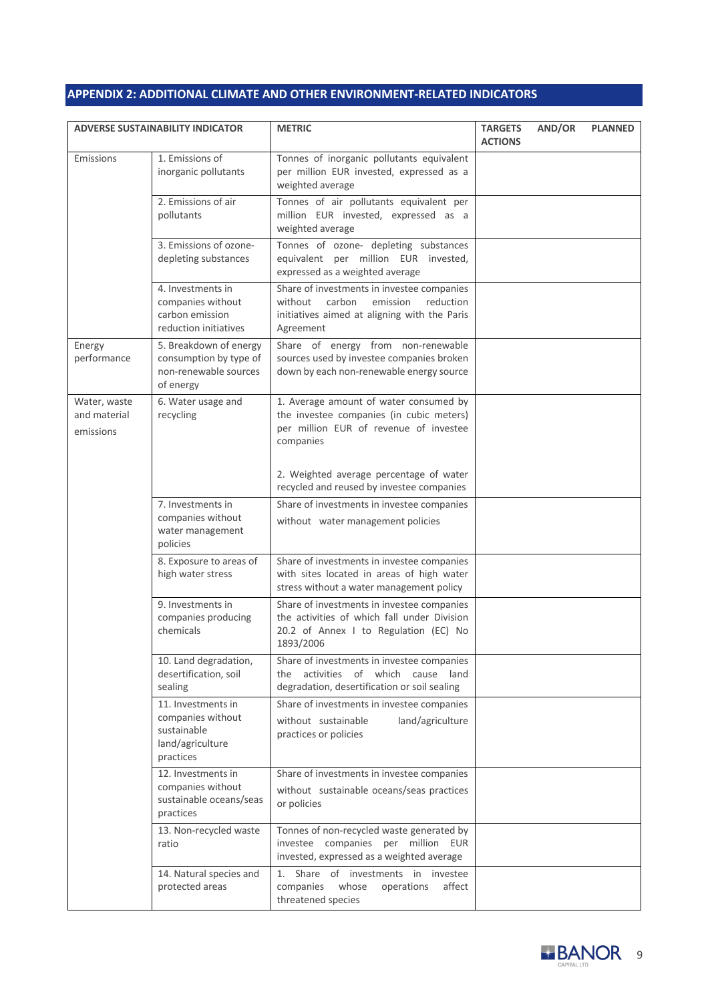# **APPENDIX 2: ADDITIONAL CLIMATE AND OTHER ENVIRONMENT-RELATED INDICATORS**

| <b>ADVERSE SUSTAINABILITY INDICATOR</b>   |                                                                                         | <b>METRIC</b>                                                                                                                                         | <b>TARGETS</b><br><b>ACTIONS</b> | AND/OR | <b>PLANNED</b> |
|-------------------------------------------|-----------------------------------------------------------------------------------------|-------------------------------------------------------------------------------------------------------------------------------------------------------|----------------------------------|--------|----------------|
| Emissions                                 | 1. Emissions of<br>inorganic pollutants                                                 | Tonnes of inorganic pollutants equivalent<br>per million EUR invested, expressed as a<br>weighted average                                             |                                  |        |                |
|                                           | 2. Emissions of air<br>pollutants                                                       | Tonnes of air pollutants equivalent per<br>million EUR invested, expressed as a<br>weighted average                                                   |                                  |        |                |
|                                           | 3. Emissions of ozone-<br>depleting substances                                          | Tonnes of ozone- depleting substances<br>equivalent per million EUR invested,<br>expressed as a weighted average                                      |                                  |        |                |
|                                           | 4. Investments in<br>companies without<br>carbon emission<br>reduction initiatives      | Share of investments in investee companies<br>without<br>carbon<br>emission<br>reduction<br>initiatives aimed at aligning with the Paris<br>Agreement |                                  |        |                |
| Energy<br>performance                     | 5. Breakdown of energy<br>consumption by type of<br>non-renewable sources<br>of energy  | Share of energy from non-renewable<br>sources used by investee companies broken<br>down by each non-renewable energy source                           |                                  |        |                |
| Water, waste<br>and material<br>emissions | 6. Water usage and<br>recycling                                                         | 1. Average amount of water consumed by<br>the investee companies (in cubic meters)<br>per million EUR of revenue of investee<br>companies             |                                  |        |                |
|                                           |                                                                                         | 2. Weighted average percentage of water<br>recycled and reused by investee companies                                                                  |                                  |        |                |
|                                           | 7. Investments in<br>companies without<br>water management<br>policies                  | Share of investments in investee companies<br>without water management policies                                                                       |                                  |        |                |
|                                           | 8. Exposure to areas of<br>high water stress                                            | Share of investments in investee companies<br>with sites located in areas of high water<br>stress without a water management policy                   |                                  |        |                |
|                                           | 9. Investments in<br>companies producing<br>chemicals                                   | Share of investments in investee companies<br>the activities of which fall under Division<br>20.2 of Annex I to Regulation (EC) No<br>1893/2006       |                                  |        |                |
|                                           | 10. Land degradation,<br>desertification, soil<br>sealing                               | Share of investments in investee companies<br>the activities of which cause<br>land<br>degradation, desertification or soil sealing                   |                                  |        |                |
|                                           | 11. Investments in<br>companies without<br>sustainable<br>land/agriculture<br>practices | Share of investments in investee companies<br>without sustainable<br>land/agriculture<br>practices or policies                                        |                                  |        |                |
|                                           | 12. Investments in<br>companies without<br>sustainable oceans/seas<br>practices         | Share of investments in investee companies<br>without sustainable oceans/seas practices<br>or policies                                                |                                  |        |                |
|                                           | 13. Non-recycled waste<br>ratio                                                         | Tonnes of non-recycled waste generated by<br>investee companies per million EUR<br>invested, expressed as a weighted average                          |                                  |        |                |
|                                           | 14. Natural species and<br>protected areas                                              | Share of investments in investee<br>1.<br>companies<br>whose<br>affect<br>operations<br>threatened species                                            |                                  |        |                |

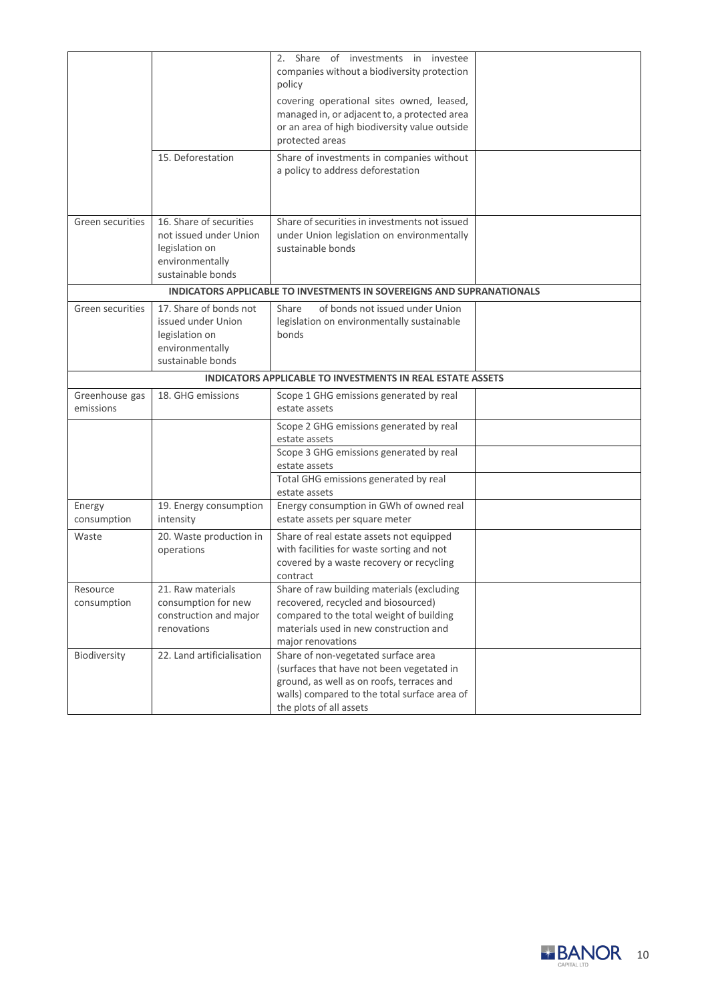|                             | 15. Deforestation                                                                                           | 2. Share of investments in investee<br>companies without a biodiversity protection<br>policy<br>covering operational sites owned, leased,<br>managed in, or adjacent to, a protected area<br>or an area of high biodiversity value outside<br>protected areas<br>Share of investments in companies without<br>a policy to address deforestation |  |
|-----------------------------|-------------------------------------------------------------------------------------------------------------|-------------------------------------------------------------------------------------------------------------------------------------------------------------------------------------------------------------------------------------------------------------------------------------------------------------------------------------------------|--|
| Green securities            | 16. Share of securities<br>not issued under Union<br>legislation on<br>environmentally<br>sustainable bonds | Share of securities in investments not issued<br>under Union legislation on environmentally<br>sustainable bonds                                                                                                                                                                                                                                |  |
|                             |                                                                                                             | <b>INDICATORS APPLICABLE TO INVESTMENTS IN SOVEREIGNS AND SUPRANATIONALS</b>                                                                                                                                                                                                                                                                    |  |
| Green securities            | 17. Share of bonds not<br>issued under Union<br>legislation on<br>environmentally<br>sustainable bonds      | of bonds not issued under Union<br>Share<br>legislation on environmentally sustainable<br>bonds                                                                                                                                                                                                                                                 |  |
|                             |                                                                                                             | <b>INDICATORS APPLICABLE TO INVESTMENTS IN REAL ESTATE ASSETS</b>                                                                                                                                                                                                                                                                               |  |
| Greenhouse gas<br>emissions | 18. GHG emissions                                                                                           | Scope 1 GHG emissions generated by real<br>estate assets                                                                                                                                                                                                                                                                                        |  |
|                             |                                                                                                             | Scope 2 GHG emissions generated by real<br>estate assets                                                                                                                                                                                                                                                                                        |  |
|                             |                                                                                                             | Scope 3 GHG emissions generated by real<br>estate assets                                                                                                                                                                                                                                                                                        |  |
|                             |                                                                                                             | Total GHG emissions generated by real<br>estate assets                                                                                                                                                                                                                                                                                          |  |
| Energy<br>consumption       | 19. Energy consumption<br>intensity                                                                         | Energy consumption in GWh of owned real<br>estate assets per square meter                                                                                                                                                                                                                                                                       |  |
| Waste                       | 20. Waste production in<br>operations                                                                       | Share of real estate assets not equipped<br>with facilities for waste sorting and not<br>covered by a waste recovery or recycling<br>contract                                                                                                                                                                                                   |  |
| Resource<br>consumption     | 21. Raw materials<br>consumption for new<br>construction and major<br>renovations                           | Share of raw building materials (excluding<br>recovered, recycled and biosourced)<br>compared to the total weight of building<br>materials used in new construction and<br>major renovations                                                                                                                                                    |  |
| Biodiversity                | 22. Land artificialisation                                                                                  | Share of non-vegetated surface area<br>(surfaces that have not been vegetated in<br>ground, as well as on roofs, terraces and<br>walls) compared to the total surface area of<br>the plots of all assets                                                                                                                                        |  |

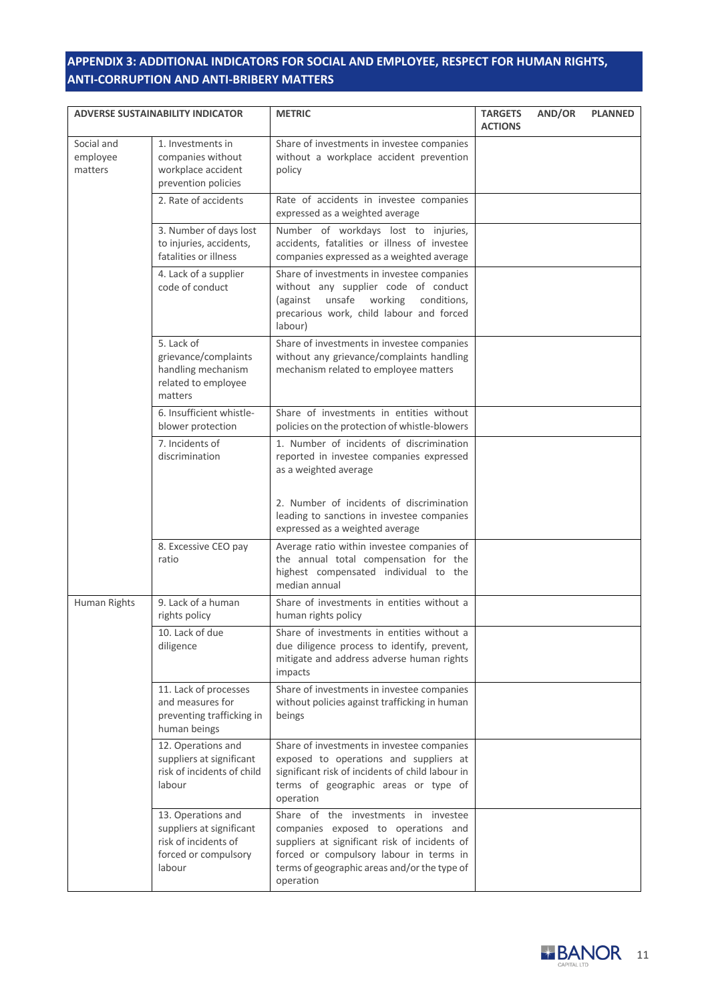# **APPENDIX 3: ADDITIONAL INDICATORS FOR SOCIAL AND EMPLOYEE, RESPECT FOR HUMAN RIGHTS, ANTI-CORRUPTION AND ANTI-BRIBERY MATTERS**

| <b>ADVERSE SUSTAINABILITY INDICATOR</b> |                                                                                                          | <b>METRIC</b>                                                                                                                                                                                                                        | <b>TARGETS</b><br><b>ACTIONS</b> | AND/OR | <b>PLANNED</b> |
|-----------------------------------------|----------------------------------------------------------------------------------------------------------|--------------------------------------------------------------------------------------------------------------------------------------------------------------------------------------------------------------------------------------|----------------------------------|--------|----------------|
| Social and<br>employee<br>matters       | 1. Investments in<br>companies without<br>workplace accident<br>prevention policies                      | Share of investments in investee companies<br>without a workplace accident prevention<br>policy                                                                                                                                      |                                  |        |                |
|                                         | 2. Rate of accidents                                                                                     | Rate of accidents in investee companies<br>expressed as a weighted average                                                                                                                                                           |                                  |        |                |
|                                         | 3. Number of days lost<br>to injuries, accidents,<br>fatalities or illness                               | Number of workdays lost to injuries,<br>accidents, fatalities or illness of investee<br>companies expressed as a weighted average                                                                                                    |                                  |        |                |
|                                         | 4. Lack of a supplier<br>code of conduct                                                                 | Share of investments in investee companies<br>without any supplier code of conduct<br>unsafe<br>working<br>(against<br>conditions,<br>precarious work, child labour and forced<br>labour)                                            |                                  |        |                |
|                                         | 5. Lack of<br>grievance/complaints<br>handling mechanism<br>related to employee<br>matters               | Share of investments in investee companies<br>without any grievance/complaints handling<br>mechanism related to employee matters                                                                                                     |                                  |        |                |
|                                         | 6. Insufficient whistle-<br>blower protection                                                            | Share of investments in entities without<br>policies on the protection of whistle-blowers                                                                                                                                            |                                  |        |                |
|                                         | 7. Incidents of<br>discrimination                                                                        | 1. Number of incidents of discrimination<br>reported in investee companies expressed<br>as a weighted average                                                                                                                        |                                  |        |                |
|                                         |                                                                                                          | 2. Number of incidents of discrimination<br>leading to sanctions in investee companies<br>expressed as a weighted average                                                                                                            |                                  |        |                |
|                                         | 8. Excessive CEO pay<br>ratio                                                                            | Average ratio within investee companies of<br>the annual total compensation for the<br>highest compensated individual to the<br>median annual                                                                                        |                                  |        |                |
| Human Rights                            | 9. Lack of a human<br>rights policy                                                                      | Share of investments in entities without a<br>human rights policy                                                                                                                                                                    |                                  |        |                |
|                                         | 10. Lack of due<br>diligence                                                                             | Share of investments in entities without a<br>due diligence process to identify, prevent,<br>mitigate and address adverse human rights<br>impacts                                                                                    |                                  |        |                |
|                                         | 11. Lack of processes<br>and measures for<br>preventing trafficking in<br>human beings                   | Share of investments in investee companies<br>without policies against trafficking in human<br>beings                                                                                                                                |                                  |        |                |
|                                         | 12. Operations and<br>suppliers at significant<br>risk of incidents of child<br>labour                   | Share of investments in investee companies<br>exposed to operations and suppliers at<br>significant risk of incidents of child labour in<br>terms of geographic areas or type of<br>operation                                        |                                  |        |                |
|                                         | 13. Operations and<br>suppliers at significant<br>risk of incidents of<br>forced or compulsory<br>labour | Share of the investments in investee<br>companies exposed to operations and<br>suppliers at significant risk of incidents of<br>forced or compulsory labour in terms in<br>terms of geographic areas and/or the type of<br>operation |                                  |        |                |